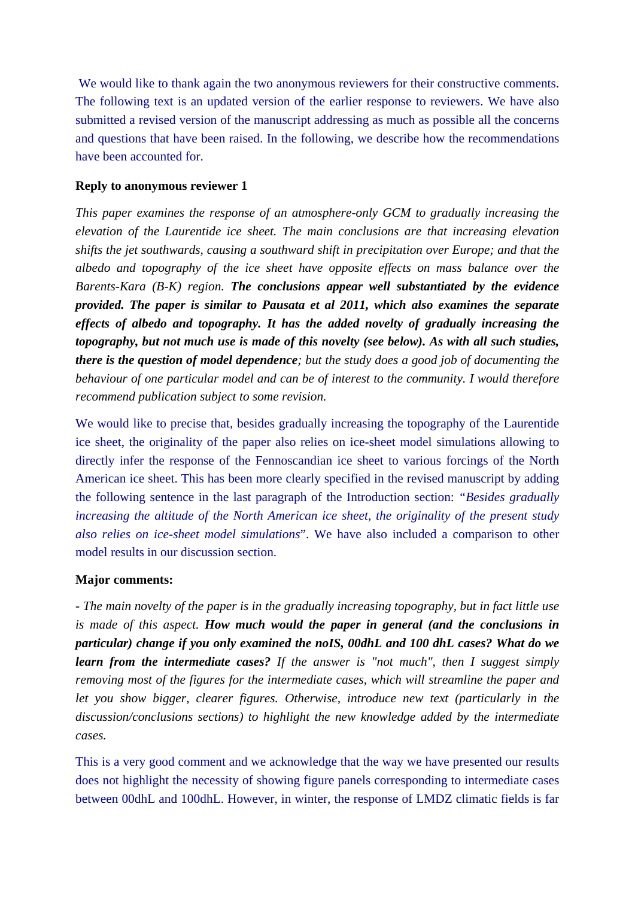We would like to thank again the two anonymous reviewers for their constructive comments. The following text is an updated version of the earlier response to reviewers. We have also submitted a revised version of the manuscript addressing as much as possible all the concerns and questions that have been raised. In the following, we describe how the recommendations have been accounted for.

## **Reply to anonymous reviewer 1**

*This paper examines the response of an atmosphere-only GCM to gradually increasing the elevation of the Laurentide ice sheet. The main conclusions are that increasing elevation shifts the jet southwards, causing a southward shift in precipitation over Europe; and that the albedo and topography of the ice sheet have opposite effects on mass balance over the Barents-Kara (B-K) region. The conclusions appear well substantiated by the evidence provided. The paper is similar to Pausata et al 2011, which also examines the separate effects of albedo and topography. It has the added novelty of gradually increasing the topography, but not much use is made of this novelty (see below). As with all such studies, there is the question of model dependence; but the study does a good job of documenting the behaviour of one particular model and can be of interest to the community. I would therefore recommend publication subject to some revision.*

We would like to precise that, besides gradually increasing the topography of the Laurentide ice sheet, the originality of the paper also relies on ice-sheet model simulations allowing to directly infer the response of the Fennoscandian ice sheet to various forcings of the North American ice sheet. This has been more clearly specified in the revised manuscript by adding the following sentence in the last paragraph of the Introduction section: *"Besides gradually increasing the altitude of the North American ice sheet, the originality of the present study also relies on ice-sheet model simulations*". We have also included a comparison to other model results in our discussion section.

### **Major comments:**

*- The main novelty of the paper is in the gradually increasing topography, but in fact little use is made of this aspect. How much would the paper in general (and the conclusions in particular) change if you only examined the noIS, 00dhL and 100 dhL cases? What do we learn from the intermediate cases? If the answer is "not much", then I suggest simply removing most of the figures for the intermediate cases, which will streamline the paper and let you show bigger, clearer figures. Otherwise, introduce new text (particularly in the discussion/conclusions sections) to highlight the new knowledge added by the intermediate cases.* 

This is a very good comment and we acknowledge that the way we have presented our results does not highlight the necessity of showing figure panels corresponding to intermediate cases between 00dhL and 100dhL. However, in winter, the response of LMDZ climatic fields is far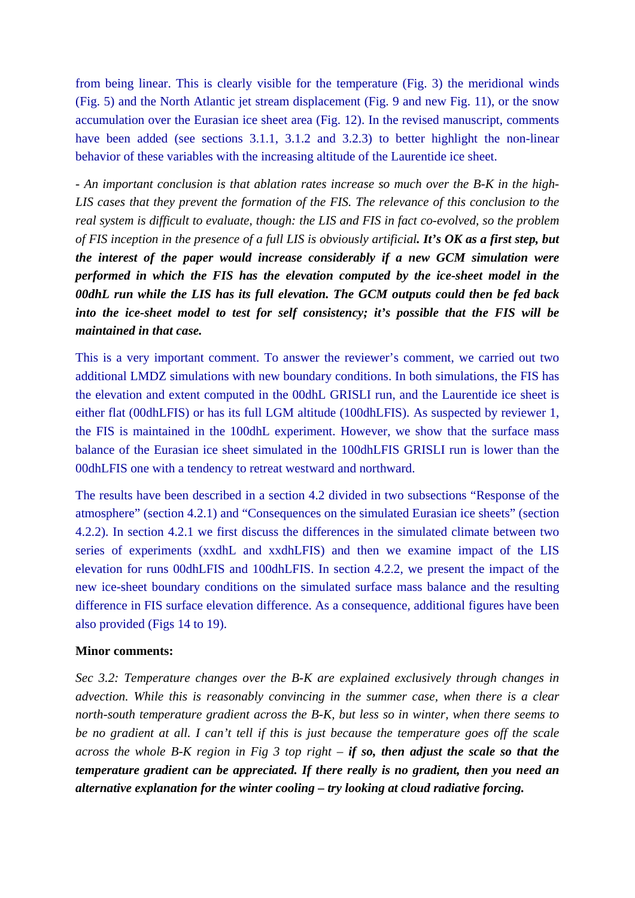from being linear. This is clearly visible for the temperature (Fig. 3) the meridional winds (Fig. 5) and the North Atlantic jet stream displacement (Fig. 9 and new Fig. 11), or the snow accumulation over the Eurasian ice sheet area (Fig. 12). In the revised manuscript, comments have been added (see sections 3.1.1, 3.1.2 and 3.2.3) to better highlight the non-linear behavior of these variables with the increasing altitude of the Laurentide ice sheet.

*- An important conclusion is that ablation rates increase so much over the B-K in the high-LIS cases that they prevent the formation of the FIS. The relevance of this conclusion to the real system is difficult to evaluate, though: the LIS and FIS in fact co-evolved, so the problem of FIS inception in the presence of a full LIS is obviously artificial. It's OK as a first step, but the interest of the paper would increase considerably if a new GCM simulation were performed in which the FIS has the elevation computed by the ice-sheet model in the 00dhL run while the LIS has its full elevation. The GCM outputs could then be fed back into the ice-sheet model to test for self consistency; it's possible that the FIS will be maintained in that case.*

This is a very important comment. To answer the reviewer's comment, we carried out two additional LMDZ simulations with new boundary conditions. In both simulations, the FIS has the elevation and extent computed in the 00dhL GRISLI run, and the Laurentide ice sheet is either flat (00dhLFIS) or has its full LGM altitude (100dhLFIS). As suspected by reviewer 1, the FIS is maintained in the 100dhL experiment. However, we show that the surface mass balance of the Eurasian ice sheet simulated in the 100dhLFIS GRISLI run is lower than the 00dhLFIS one with a tendency to retreat westward and northward.

The results have been described in a section 4.2 divided in two subsections "Response of the atmosphere" (section 4.2.1) and "Consequences on the simulated Eurasian ice sheets" (section 4.2.2). In section 4.2.1 we first discuss the differences in the simulated climate between two series of experiments (xxdhL and xxdhLFIS) and then we examine impact of the LIS elevation for runs 00dhLFIS and 100dhLFIS. In section 4.2.2, we present the impact of the new ice-sheet boundary conditions on the simulated surface mass balance and the resulting difference in FIS surface elevation difference. As a consequence, additional figures have been also provided (Figs 14 to 19).

#### **Minor comments:**

*Sec 3.2: Temperature changes over the B-K are explained exclusively through changes in advection. While this is reasonably convincing in the summer case, when there is a clear north-south temperature gradient across the B-K, but less so in winter, when there seems to be no gradient at all. I can't tell if this is just because the temperature goes off the scale across the whole B-K region in Fig 3 top right – if so, then adjust the scale so that the temperature gradient can be appreciated. If there really is no gradient, then you need an alternative explanation for the winter cooling – try looking at cloud radiative forcing.*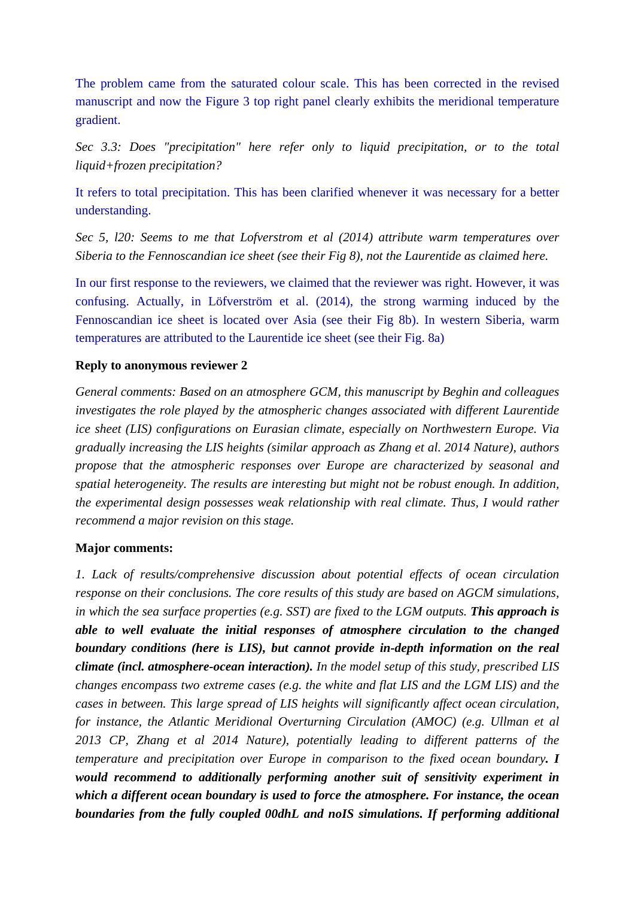The problem came from the saturated colour scale. This has been corrected in the revised manuscript and now the Figure 3 top right panel clearly exhibits the meridional temperature gradient.

*Sec 3.3: Does "precipitation" here refer only to liquid precipitation, or to the total liquid+frozen precipitation?* 

It refers to total precipitation. This has been clarified whenever it was necessary for a better understanding.

*Sec 5, l20: Seems to me that Lofverstrom et al (2014) attribute warm temperatures over Siberia to the Fennoscandian ice sheet (see their Fig 8), not the Laurentide as claimed here.*

In our first response to the reviewers, we claimed that the reviewer was right. However, it was confusing. Actually, in Löfverström et al. (2014), the strong warming induced by the Fennoscandian ice sheet is located over Asia (see their Fig 8b). In western Siberia, warm temperatures are attributed to the Laurentide ice sheet (see their Fig. 8a)

# **Reply to anonymous reviewer 2**

*General comments: Based on an atmosphere GCM, this manuscript by Beghin and colleagues investigates the role played by the atmospheric changes associated with different Laurentide ice sheet (LIS) configurations on Eurasian climate, especially on Northwestern Europe. Via gradually increasing the LIS heights (similar approach as Zhang et al. 2014 Nature), authors propose that the atmospheric responses over Europe are characterized by seasonal and spatial heterogeneity. The results are interesting but might not be robust enough. In addition, the experimental design possesses weak relationship with real climate. Thus, I would rather recommend a major revision on this stage.*

# **Major comments:**

*1. Lack of results/comprehensive discussion about potential effects of ocean circulation response on their conclusions. The core results of this study are based on AGCM simulations, in which the sea surface properties (e.g. SST) are fixed to the LGM outputs. This approach is able to well evaluate the initial responses of atmosphere circulation to the changed boundary conditions (here is LIS), but cannot provide in-depth information on the real climate (incl. atmosphere-ocean interaction). In the model setup of this study, prescribed LIS changes encompass two extreme cases (e.g. the white and flat LIS and the LGM LIS) and the cases in between. This large spread of LIS heights will significantly affect ocean circulation, for instance, the Atlantic Meridional Overturning Circulation (AMOC) (e.g. Ullman et al 2013 CP, Zhang et al 2014 Nature), potentially leading to different patterns of the temperature and precipitation over Europe in comparison to the fixed ocean boundary. I would recommend to additionally performing another suit of sensitivity experiment in which a different ocean boundary is used to force the atmosphere. For instance, the ocean boundaries from the fully coupled 00dhL and noIS simulations. If performing additional*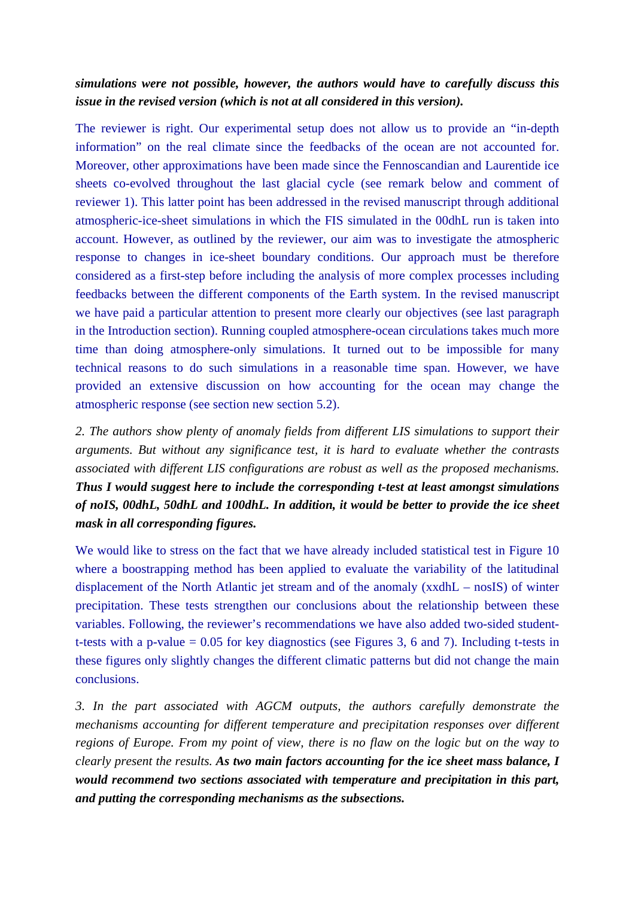# *simulations were not possible, however, the authors would have to carefully discuss this issue in the revised version (which is not at all considered in this version).*

The reviewer is right. Our experimental setup does not allow us to provide an "in-depth information" on the real climate since the feedbacks of the ocean are not accounted for. Moreover, other approximations have been made since the Fennoscandian and Laurentide ice sheets co-evolved throughout the last glacial cycle (see remark below and comment of reviewer 1). This latter point has been addressed in the revised manuscript through additional atmospheric-ice-sheet simulations in which the FIS simulated in the 00dhL run is taken into account. However, as outlined by the reviewer, our aim was to investigate the atmospheric response to changes in ice-sheet boundary conditions. Our approach must be therefore considered as a first-step before including the analysis of more complex processes including feedbacks between the different components of the Earth system. In the revised manuscript we have paid a particular attention to present more clearly our objectives (see last paragraph in the Introduction section). Running coupled atmosphere-ocean circulations takes much more time than doing atmosphere-only simulations. It turned out to be impossible for many technical reasons to do such simulations in a reasonable time span. However, we have provided an extensive discussion on how accounting for the ocean may change the atmospheric response (see section new section 5.2).

*2. The authors show plenty of anomaly fields from different LIS simulations to support their arguments. But without any significance test, it is hard to evaluate whether the contrasts associated with different LIS configurations are robust as well as the proposed mechanisms. Thus I would suggest here to include the corresponding t-test at least amongst simulations of noIS, 00dhL, 50dhL and 100dhL. In addition, it would be better to provide the ice sheet mask in all corresponding figures.*

We would like to stress on the fact that we have already included statistical test in Figure 10 where a boostrapping method has been applied to evaluate the variability of the latitudinal displacement of the North Atlantic jet stream and of the anomaly (xxdhL – nosIS) of winter precipitation. These tests strengthen our conclusions about the relationship between these variables. Following, the reviewer's recommendations we have also added two-sided studentt-tests with a p-value = 0.05 for key diagnostics (see Figures 3, 6 and 7). Including t-tests in these figures only slightly changes the different climatic patterns but did not change the main conclusions.

*3. In the part associated with AGCM outputs, the authors carefully demonstrate the mechanisms accounting for different temperature and precipitation responses over different regions of Europe. From my point of view, there is no flaw on the logic but on the way to clearly present the results. As two main factors accounting for the ice sheet mass balance, I would recommend two sections associated with temperature and precipitation in this part, and putting the corresponding mechanisms as the subsections.*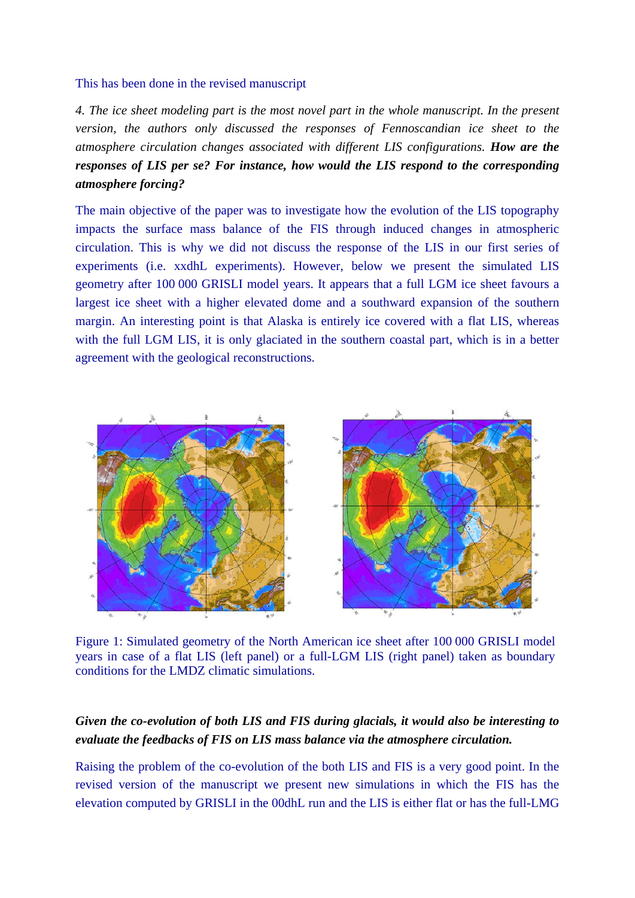#### This has been done in the revised manuscript

*4. The ice sheet modeling part is the most novel part in the whole manuscript. In the present version, the authors only discussed the responses of Fennoscandian ice sheet to the atmosphere circulation changes associated with different LIS configurations. How are the responses of LIS per se? For instance, how would the LIS respond to the corresponding atmosphere forcing?* 

The main objective of the paper was to investigate how the evolution of the LIS topography impacts the surface mass balance of the FIS through induced changes in atmospheric circulation. This is why we did not discuss the response of the LIS in our first series of experiments (i.e. xxdhL experiments). However, below we present the simulated LIS geometry after 100 000 GRISLI model years. It appears that a full LGM ice sheet favours a largest ice sheet with a higher elevated dome and a southward expansion of the southern margin. An interesting point is that Alaska is entirely ice covered with a flat LIS, whereas with the full LGM LIS, it is only glaciated in the southern coastal part, which is in a better agreement with the geological reconstructions.



Figure 1: Simulated geometry of the North American ice sheet after 100 000 GRISLI model years in case of a flat LIS (left panel) or a full-LGM LIS (right panel) taken as boundary conditions for the LMDZ climatic simulations.

# *Given the co-evolution of both LIS and FIS during glacials, it would also be interesting to evaluate the feedbacks of FIS on LIS mass balance via the atmosphere circulation.*

Raising the problem of the co-evolution of the both LIS and FIS is a very good point. In the revised version of the manuscript we present new simulations in which the FIS has the elevation computed by GRISLI in the 00dhL run and the LIS is either flat or has the full-LMG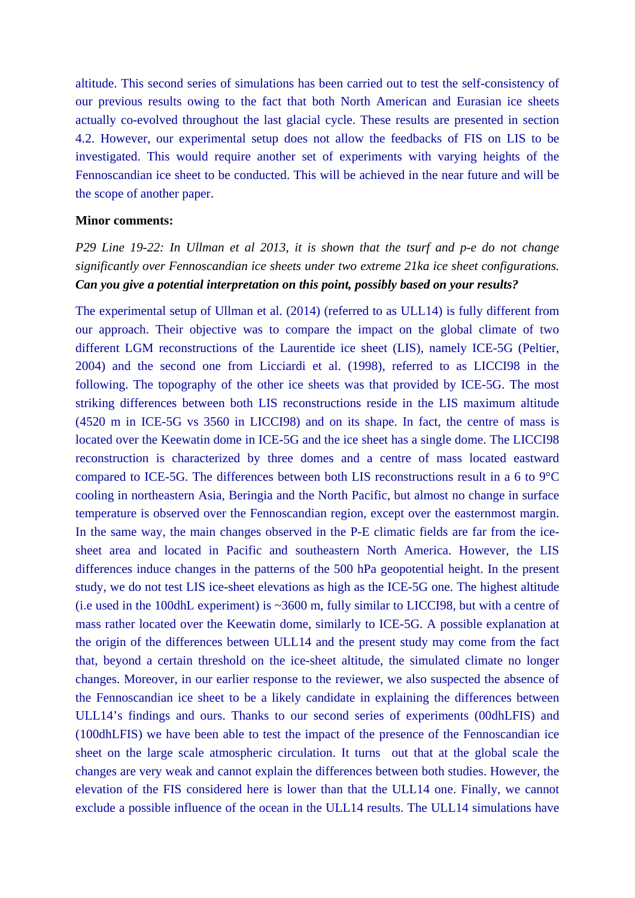altitude. This second series of simulations has been carried out to test the self-consistency of our previous results owing to the fact that both North American and Eurasian ice sheets actually co-evolved throughout the last glacial cycle. These results are presented in section 4.2. However, our experimental setup does not allow the feedbacks of FIS on LIS to be investigated. This would require another set of experiments with varying heights of the Fennoscandian ice sheet to be conducted. This will be achieved in the near future and will be the scope of another paper.

### **Minor comments:**

*P29 Line 19-22: In Ullman et al 2013, it is shown that the tsurf and p-e do not change significantly over Fennoscandian ice sheets under two extreme 21ka ice sheet configurations. Can you give a potential interpretation on this point, possibly based on your results?* 

The experimental setup of Ullman et al. (2014) (referred to as ULL14) is fully different from our approach. Their objective was to compare the impact on the global climate of two different LGM reconstructions of the Laurentide ice sheet (LIS), namely ICE-5G (Peltier, 2004) and the second one from Licciardi et al. (1998), referred to as LICCI98 in the following. The topography of the other ice sheets was that provided by ICE-5G. The most striking differences between both LIS reconstructions reside in the LIS maximum altitude (4520 m in ICE-5G vs 3560 in LICCI98) and on its shape. In fact, the centre of mass is located over the Keewatin dome in ICE-5G and the ice sheet has a single dome. The LICCI98 reconstruction is characterized by three domes and a centre of mass located eastward compared to ICE-5G. The differences between both LIS reconstructions result in a 6 to 9°C cooling in northeastern Asia, Beringia and the North Pacific, but almost no change in surface temperature is observed over the Fennoscandian region, except over the easternmost margin. In the same way, the main changes observed in the P-E climatic fields are far from the icesheet area and located in Pacific and southeastern North America. However, the LIS differences induce changes in the patterns of the 500 hPa geopotential height. In the present study, we do not test LIS ice-sheet elevations as high as the ICE-5G one. The highest altitude (i.e used in the 100dhL experiment) is ~3600 m, fully similar to LICCI98, but with a centre of mass rather located over the Keewatin dome, similarly to ICE-5G. A possible explanation at the origin of the differences between ULL14 and the present study may come from the fact that, beyond a certain threshold on the ice-sheet altitude, the simulated climate no longer changes. Moreover, in our earlier response to the reviewer, we also suspected the absence of the Fennoscandian ice sheet to be a likely candidate in explaining the differences between ULL14's findings and ours. Thanks to our second series of experiments (00dhLFIS) and (100dhLFIS) we have been able to test the impact of the presence of the Fennoscandian ice sheet on the large scale atmospheric circulation. It turns out that at the global scale the changes are very weak and cannot explain the differences between both studies. However, the elevation of the FIS considered here is lower than that the ULL14 one. Finally, we cannot exclude a possible influence of the ocean in the ULL14 results. The ULL14 simulations have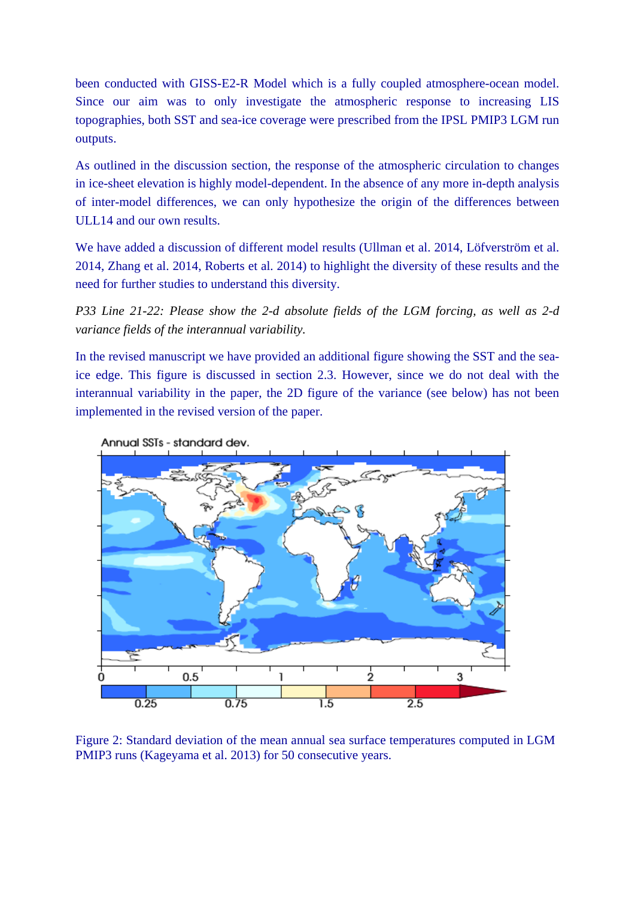been conducted with GISS-E2-R Model which is a fully coupled atmosphere-ocean model. Since our aim was to only investigate the atmospheric response to increasing LIS topographies, both SST and sea-ice coverage were prescribed from the IPSL PMIP3 LGM run outputs.

As outlined in the discussion section, the response of the atmospheric circulation to changes in ice-sheet elevation is highly model-dependent. In the absence of any more in-depth analysis of inter-model differences, we can only hypothesize the origin of the differences between ULL14 and our own results.

We have added a discussion of different model results (Ullman et al. 2014, Löfverström et al. 2014, Zhang et al. 2014, Roberts et al. 2014) to highlight the diversity of these results and the need for further studies to understand this diversity.

*P33 Line 21-22: Please show the 2-d absolute fields of the LGM forcing, as well as 2-d variance fields of the interannual variability.*

In the revised manuscript we have provided an additional figure showing the SST and the seaice edge. This figure is discussed in section 2.3. However, since we do not deal with the interannual variability in the paper, the 2D figure of the variance (see below) has not been implemented in the revised version of the paper.



Annual SSTs - standard dev.

Figure 2: Standard deviation of the mean annual sea surface temperatures computed in LGM PMIP3 runs (Kageyama et al. 2013) for 50 consecutive years.